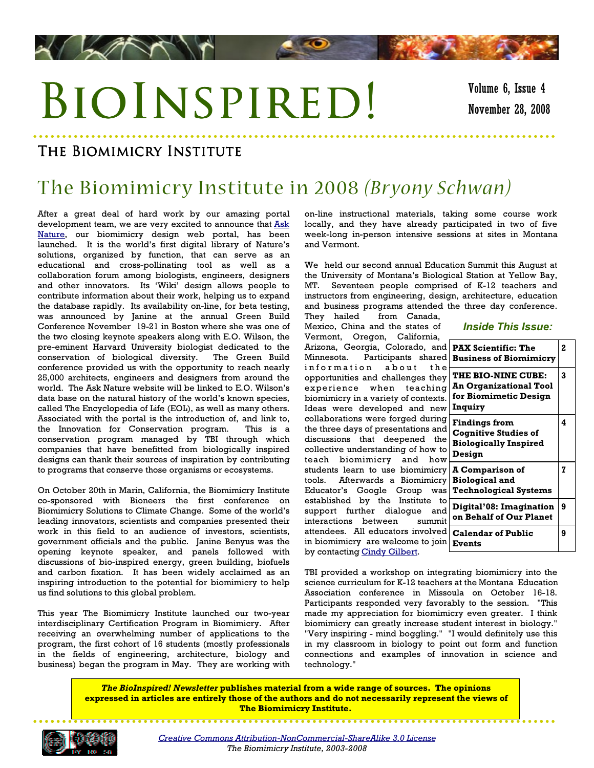# BIOINSPIRED!

### The Biomimicry Institute

**LANT** 

### The Biomimicry Institute in 2008 *(Br yony Schwan)*

After a great deal of hard work by our amazing portal development team, we are very excited to announce that Ask [Nature,](http://asknature.org) our biomimicry design web portal, has been launched. It is the world's first digital library of Nature's solutions, organized by function, that can serve as an educational and cross-pollinating tool as well as a collaboration forum among biologists, engineers, designers and other innovators. Its 'Wiki' design allows people to contribute information about their work, helping us to expand the database rapidly. Its availability on-line, for beta testing, was announced by Janine at the annual Green Build Conference November 19-21 in Boston where she was one of the two closing keynote speakers along with E.O. Wilson, the pre-eminent Harvard University biologist dedicated to the conservation of biological diversity. The Green Build conference provided us with the opportunity to reach nearly 25,000 architects, engineers and designers from around the world. The Ask Nature website will be linked to E.O. Wilson's data base on the natural history of the world's known species, called The Encyclopedia of Life (EOL), as well as many others. Associated with the portal is the introduction of, and link to, the Innovation for Conservation program. This is a conservation program managed by TBI through which companies that have benefitted from biologically inspired designs can thank their sources of inspiration by contributing to programs that conserve those organisms or ecosystems.

On October 20th in Marin, California, the Biomimicry Institute co-sponsored with Bioneers the first conference on Biomimicry Solutions to Climate Change. Some of the world's leading innovators, scientists and companies presented their work in this field to an audience of investors, scientists, government officials and the public. Janine Benyus was the opening keynote speaker, and panels followed with discussions of bio-inspired energy, green building, biofuels and carbon fixation. It has been widely acclaimed as an inspiring introduction to the potential for biomimicry to help us find solutions to this global problem.

This year The Biomimicry Institute launched our two-year interdisciplinary Certification Program in Biomimicry. After receiving an overwhelming number of applications to the program, the first cohort of 16 students (mostly professionals in the fields of engineering, architecture, biology and business) began the program in May. They are working with

on-line instructional materials, taking some course work locally, and they have already participated in two of five week-long in-person intensive sessions at sites in Montana and Vermont.

We held our second annual Education Summit this August at the University of Montana's Biological Station at Yellow Bay, MT. Seventeen people comprised of K-12 teachers and instructors from engineering, design, architecture, education and business programs attended the three day conference.

They hailed from Canada, Mexico, China and the states of Vermont, Oregon, California, Arizona, Georgia, Colorado, ar Minnesota. Participants share information about th opportunities and challenges the experience when teachin biomimicry in a variety of context Ideas were developed and ne collaborations were forged during the three days of presentations ar discussions that deepened th collective understanding of how teach biomimicry and ho students learn to use biomimic: tools. Afterwards a Biomimic: Educator's Google Group w established by the Institute support further dialogue ar interactions between summ attendees. All educators involve in biomimicry are welcome to jo by contacting Cindy Gilbert.

| <b>Inside This Issue:</b> |  |  |
|---------------------------|--|--|
|---------------------------|--|--|

| ٦d<br>эd                    | <b>PAX Scientific: The</b><br><b>Business of Biomimicry</b>                                    | $\overline{a}$ |
|-----------------------------|------------------------------------------------------------------------------------------------|----------------|
| ı e<br>эy<br>ιq<br>ts.<br>w | <b>THE BIO-NINE CUBE:</b><br><b>An Organizational Tool</b><br>for Biomimetic Design<br>Inquiry | 3              |
| ٦g<br>٦d<br>he<br>to<br>w   | <b>Findings from</b><br><b>Cognitive Studies of</b><br><b>Biologically Inspired</b><br>Design  | 4              |
| ry<br>ry<br>as              | <b>A Comparison of</b><br><b>Biological and</b><br><b>Technological Systems</b>                | 7              |
| to<br>٦d<br>hit             | Digital'08: Imagination<br>on Behalf of Our Planet                                             | 9              |
| эd<br>ı'n                   | <b>Calendar of Public</b><br><b>Events</b>                                                     | 9              |

TBI provided a workshop on integrating biomimicry into the Participants responded very favorably to the session. "This made my appreciation for biomimicry even greater. I think biomimicry can greatly increase student interest in biology." "Very inspiring - mind boggling." "I would definitely use this in my classroom in biology to point out form and function connections and examples of innovation in science and technology." Association conference in Missoula on October 16-18. science curriculum for K-12 teachers at the Montana Education

The BioInspired! Newsletter publishes material from a wide range of sources. The opinions expressed in articles are entirely those of the authors and do not necessarily represent the views of The Biomimicry Institute.



[Creative Commons Attribution-NonCommercial-ShareAlike 3.0 License](http://creativecommons.org/licenses/by-nc-sa/3.0/) The Biomimicry Institute, 2003-2008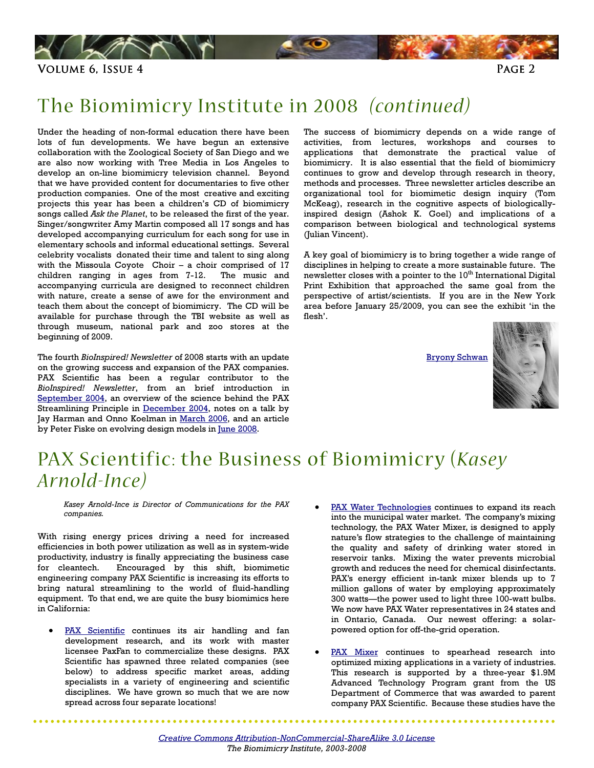<span id="page-1-0"></span>

### The Biomimicry Institute in 2008 *(continued)*

Under the heading of non-formal education there have been lots of fun developments. We have begun an extensive collaboration with the Zoological Society of San Diego and we are also now working with Tree Media in Los Angeles to develop an on-line biomimicry television channel. Beyond that we have provided content for documentaries to five other production companies. One of the most creative and exciting projects this year has been a children's CD of biomimicry songs called Ask the Planet, to be released the first of the year. Singer/songwriter Amy Martin composed all 17 songs and has developed accompanying curriculum for each song for use in elementary schools and informal educational settings. Several celebrity vocalists donated their time and talent to sing along with the Missoula Coyote Choir – a choir comprised of 17 children ranging in ages from 7-12. The music and accompanying curricula are designed to reconnect children with nature, create a sense of awe for the environment and teach them about the concept of biomimicry. The CD will be available for purchase through the TBI website as well as through museum, national park and zoo stores at the beginning of 2009.

The fourth BioInspired! Newsletter of 2008 starts with an update on the growing success and expansion of the PAX companies. PAX Scientific has been a regular contributor to the BioInspired! Newsletter, from an brief introduction in [September 2004,](http://biomimicry.typepad.com/newsletter/2006/03/september_2004_.html) an overview of the science behind the PAX Streamlining Principle in [December 2004,](http://biomimicry.typepad.com/newsletter/2006/03/december_2004_n.html) notes on a talk by Jay Harman and Onno Koelman in <u>March 2006</u>, and an article by Peter Fiske on evolving design models i[n June 2008.](http://biomimicry.typepad.com/newsletter/2008/06/june-2008-newsl.html) 

The success of biomimicry depends on a wide range of activities, from lectures, workshops and courses to applications that demonstrate the practical value of biomimicry. It is also essential that the field of biomimicry continues to grow and develop through research in theory, methods and processes. Three newsletter articles describe an organizational tool for biomimetic design inquiry (Tom McKeag), research in the cognitive aspects of biologicallyinspired design (Ashok K. Goel) and implications of a comparison between biological and technological systems (Julian Vincent).

A key goal of biomimicry is to bring together a wide range of disciplines in helping to create a more sustainable future. The newsletter closes with a pointer to the 10<sup>th</sup> International Digital Print Exhibition that approached the same goal from the perspective of artist/scientists. If you are in the New York area before January 25/2009, you can see the exhibit 'in the flesh'.

[Bryony Schwan](mailto:bryony@biomimicryinstitute.org)



### PAX Scientific: the Business of Biomimicry (*Kasey Arnold-Ince)*

Kasey Arnold-Ince is Director of Communications for the PAX companies.

With rising energy prices driving a need for increased efficiencies in both power utilization as well as in system-wide productivity, industry is finally appreciating the business case for cleantech. Encouraged by this shift, biomimetic engineering company PAX Scientific is increasing its efforts to bring natural streamlining to the world of fluid-handling equipment. To that end, we are quite the busy biomimics here in California:

[PAX Scientific](http://www.paxscientific.com/) continues its air handling and fan development research, and its work with master licensee PaxFan to commercialize these designs. PAX Scientific has spawned three related companies (see below) to address specific market areas, adding specialists in a variety of engineering and scientific disciplines. We have grown so much that we are now spread across four separate locations!

 $\begin{array}{cccccccccccccc} \bullet & \bullet & \bullet & \bullet & \bullet & \bullet & \bullet & \bullet \end{array}$ 

- [PAX Water Technologies](http://www.paxwater.com/) continues to expand its reach into the municipal water market. The company's mixing technology, the PAX Water Mixer, is designed to apply nature's flow strategies to the challenge of maintaining the quality and safety of drinking water stored in reservoir tanks. Mixing the water prevents microbial growth and reduces the need for chemical disinfectants. PAX's energy efficient in-tank mixer blends up to 7 million gallons of water by employing approximately 300 watts—the power used to light three 100-watt bulbs. We now have PAX Water representatives in 24 states and in Ontario, Canada. Our newest offering: a solarpowered option for off-the-grid operation.
- [PAX Mixer](http://www.paxscientific.com/tech_what.html#mixer) continues to spearhead research into optimized mixing applications in a variety of industries. This research is supported by a three-year \$1.9M Advanced Technology Program grant from the US Department of Commerce that was awarded to parent company PAX Scientific. Because these studies have the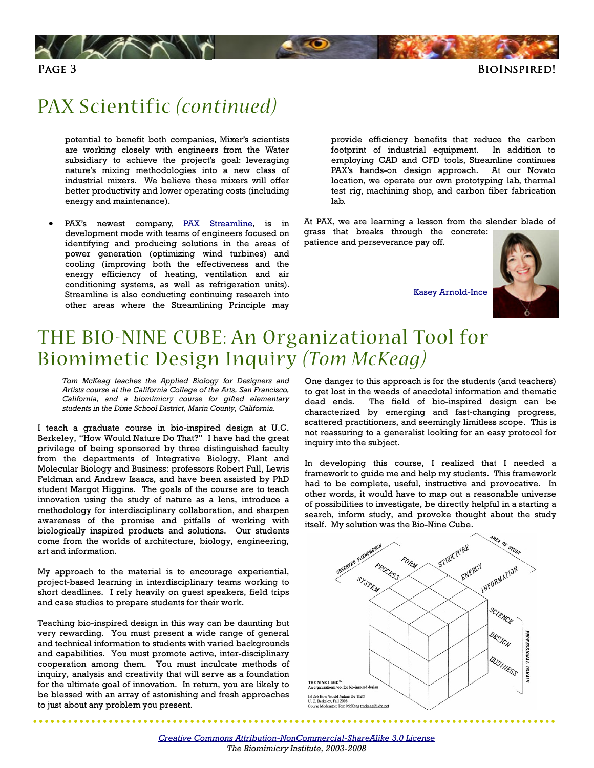<span id="page-2-0"></span>



### PAX Scientific *(continued)*

potential to benefit both companies, Mixer's scientists are working closely with engineers from the Water subsidiary to achieve the project's goal: leveraging nature's mixing methodologies into a new class of industrial mixers. We believe these mixers will offer better productivity and lower operating costs (including energy and maintenance).

PAX's newest company, [PAX Streamline,](http://www.paxstreamline.com/) is in development mode with teams of engineers focused on identifying and producing solutions in the areas of power generation (optimizing wind turbines) and cooling (improving both the effectiveness and the energy efficiency of heating, ventilation and air conditioning systems, as well as refrigeration units). Streamline is also conducting continuing research into other areas where the Streamlining Principle may

provide efficiency benefits that reduce the carbon footprint of industrial equipment. In addition to employing CAD and CFD tools, Streamline continues PAX's hands-on design approach. At our Novato location, we operate our own prototyping lab, thermal test rig, machining shop, and carbon fiber fabrication lab.

At PAX, we are learning a lesson from the slender blade of grass that breaks through the concrete:

patience and perseverance pay off.

[Kasey Arnold-Ince](mailto:karnold-ince@paxstreamline.com) 



### THE BIO-NINE CUBE: An Organizational Tool for Biomimetic Design Inquiry *(Tom McKeag)*

Tom McKeag teaches the Applied Biology for Designers and Artists course at the California College of the Arts, San Francisco, California, and a biomimicry course for gifted elementary students in the Dixie School District, Marin County, California.

I teach a graduate course in bio-inspired design at U.C. Berkeley, "How Would Nature Do That?" I have had the great privilege of being sponsored by three distinguished faculty from the departments of Integrative Biology, Plant and Molecular Biology and Business: professors Robert Full, Lewis Feldman and Andrew Isaacs, and have been assisted by PhD student Margot Higgins. The goals of the course are to teach innovation using the study of nature as a lens, introduce a methodology for interdisciplinary collaboration, and sharpen awareness of the promise and pitfalls of working with biologically inspired products and solutions. Our students come from the worlds of architecture, biology, engineering, art and information.

My approach to the material is to encourage experiential, project-based learning in interdisciplinary teams working to short deadlines. I rely heavily on guest speakers, field trips and case studies to prepare students for their work.

Teaching bio-inspired design in this way can be daunting but very rewarding. You must present a wide range of general and technical information to students with varied backgrounds and capabilities. You must promote active, inter-disciplinary cooperation among them. You must inculcate methods of inquiry, analysis and creativity that will serve as a foundation for the ultimate goal of innovation. In return, you are likely to be blessed with an array of astonishing and fresh approaches to just about any problem you present.

One danger to this approach is for the students (and teachers) to get lost in the weeds of anecdotal information and thematic dead ends. The field of bio-inspired design can be characterized by emerging and fast-changing progress, scattered practitioners, and seemingly limitless scope. This is not reassuring to a generalist looking for an easy protocol for inquiry into the subject.

In developing this course, I realized that I needed a framework to guide me and help my students. This framework had to be complete, useful, instructive and provocative. In other words, it would have to map out a reasonable universe of possibilities to investigate, be directly helpful in a starting a search, inform study, and provoke thought about the study itself. My solution was the Bio-Nine Cube.



[Creative Commons Attribution-NonCommercial-ShareAlike 3.0 License](http://creativecommons.org/licenses/by-nc-sa/3.0/) The Biomimicry Institute, 2003-2008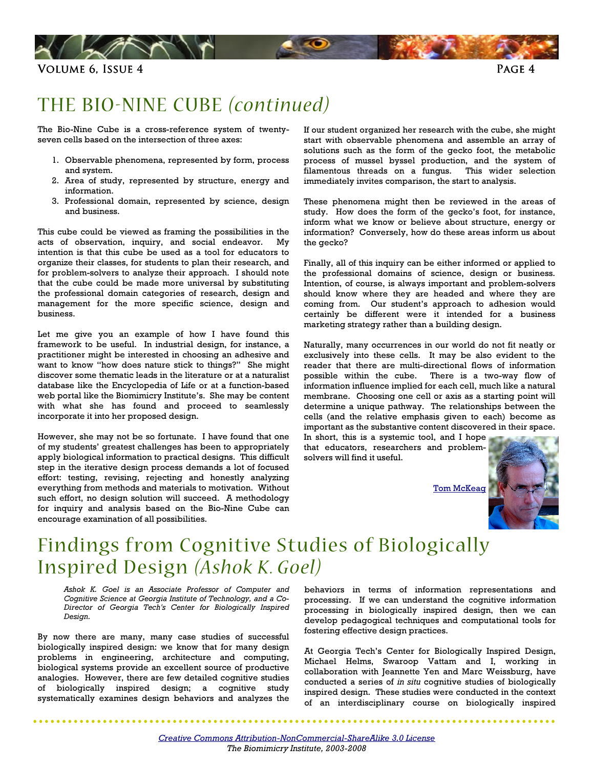<span id="page-3-0"></span>

### THE BIO-NINE CUBE *(continued)*

The Bio-Nine Cube is a cross-reference system of twentyseven cells based on the intersection of three axes:

- 1. Observable phenomena, represented by form, process and system.
- 2. Area of study, represented by structure, energy and information.
- 3. Professional domain, represented by science, design and business.

This cube could be viewed as framing the possibilities in the acts of observation, inquiry, and social endeavor. My intention is that this cube be used as a tool for educators to organize their classes, for students to plan their research, and for problem-solvers to analyze their approach. I should note that the cube could be made more universal by substituting the professional domain categories of research, design and management for the more specific science, design and business.

Let me give you an example of how I have found this framework to be useful. In industrial design, for instance, a practitioner might be interested in choosing an adhesive and want to know "how does nature stick to things?" She might discover some thematic leads in the literature or at a naturalist database like the Encyclopedia of Life or at a function-based web portal like the Biomimicry Institute's. She may be content with what she has found and proceed to seamlessly incorporate it into her proposed design.

However, she may not be so fortunate. I have found that one of my students' greatest challenges has been to appropriately apply biological information to practical designs. This difficult step in the iterative design process demands a lot of focused effort: testing, revising, rejecting and honestly analyzing everything from methods and materials to motivation. Without such effort, no design solution will succeed. A methodology for inquiry and analysis based on the Bio-Nine Cube can encourage examination of all possibilities.

If our student organized her research with the cube, she might start with observable phenomena and assemble an array of solutions such as the form of the gecko foot, the metabolic process of mussel byssel production, and the system of filamentous threads on a fungus. This wider selection immediately invites comparison, the start to analysis.

These phenomena might then be reviewed in the areas of study. How does the form of the gecko's foot, for instance, inform what we know or believe about structure, energy or information? Conversely, how do these areas inform us about the gecko?

Finally, all of this inquiry can be either informed or applied to the professional domains of science, design or business. Intention, of course, is always important and problem-solvers should know where they are headed and where they are coming from. Our student's approach to adhesion would certainly be different were it intended for a business marketing strategy rather than a building design.

Naturally, many occurrences in our world do not fit neatly or exclusively into these cells. It may be also evident to the reader that there are multi-directional flows of information possible within the cube. There is a two-way flow of information influence implied for each cell, much like a natural membrane. Choosing one cell or axis as a starting point will determine a unique pathway. The relationships between the cells (and the relative emphasis given to each) become as important as the substantive content discovered in their space.

In short, this is a systemic tool, and I hope that educators, researchers and problemsolvers will find it useful.

**Tom McKeag** 



### Findings from Cognitive Studies of Biologically Inspired Design *(Ashok K . Goel)*

Ashok K. Goel is an Associate Professor of Computer and Cognitive Science at Georgia Institute of Technology, and a Co-Director of Georgia Tech's Center for Biologically Inspired Design.

By now there are many, many case studies of successful biologically inspired design: we know that for many design problems in engineering, architecture and computing, biological systems provide an excellent source of productive analogies. However, there are few detailed cognitive studies of biologically inspired design; a cognitive study systematically examines design behaviors and analyzes the behaviors in terms of information representations and processing. If we can understand the cognitive information processing in biologically inspired design, then we can develop pedagogical techniques and computational tools for fostering effective design practices.

At Georgia Tech's Center for Biologically Inspired Design, Michael Helms, Swaroop Vattam and I, working in collaboration with Jeannette Yen and Marc Weissburg, have conducted a series of in situ cognitive studies of biologically inspired design. These studies were conducted in the context of an interdisciplinary course on biologically inspired

[Creative Commons Attribution-NonCommercial-ShareAlike 3.0 License](http://creativecommons.org/licenses/by-nc-sa/3.0/) The Biomimicry Institute, 2003-2008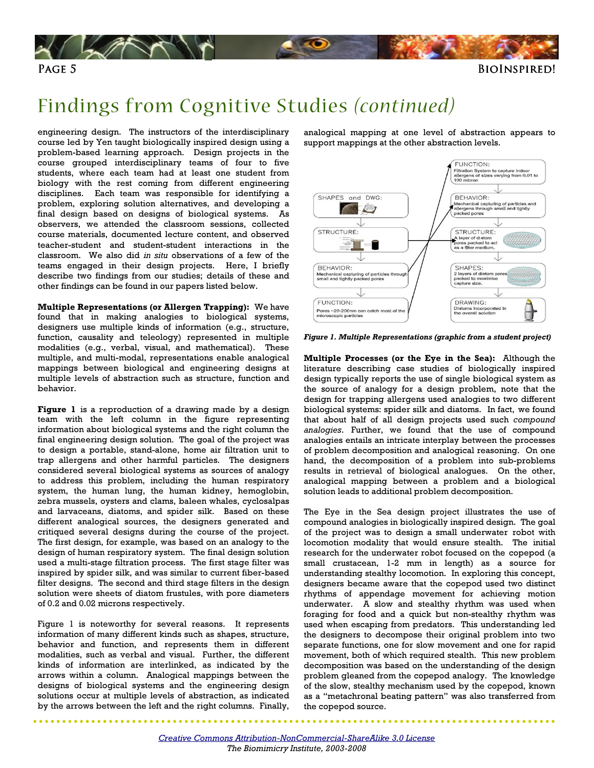

### Findings from Cognitive Studies *(continued)*

engineering design. The instructors of the interdisciplinary course led by Yen taught biologically inspired design using a problem-based learning approach. Design projects in the course grouped interdisciplinary teams of four to five students, where each team had at least one student from biology with the rest coming from different engineering disciplines. Each team was responsible for identifying a problem, exploring solution alternatives, and developing a final design based on designs of biological systems. As observers, we attended the classroom sessions, collected course materials, documented lecture content, and observed teacher-student and student-student interactions in the classroom. We also did in situ observations of a few of the teams engaged in their design projects. Here, I briefly describe two findings from our studies; details of these and other findings can be found in our papers listed below.

Multiple Representations (or Allergen Trapping): We have found that in making analogies to biological systems, designers use multiple kinds of information (e.g., structure, function, causality and teleology) represented in multiple modalities (e.g., verbal, visual, and mathematical). These multiple, and multi-modal, representations enable analogical mappings between biological and engineering designs at multiple levels of abstraction such as structure, function and behavior.

Figure 1 is a reproduction of a drawing made by a design team with the left column in the figure representing information about biological systems and the right column the final engineering design solution. The goal of the project was to design a portable, stand-alone, home air filtration unit to trap allergens and other harmful particles. The designers considered several biological systems as sources of analogy to address this problem, including the human respiratory system, the human lung, the human kidney, hemoglobin, zebra mussels, oysters and clams, baleen whales, cyclosalpas and larvaceans, diatoms, and spider silk. Based on these different analogical sources, the designers generated and critiqued several designs during the course of the project. The first design, for example, was based on an analogy to the design of human respiratory system. The final design solution used a multi-stage filtration process. The first stage filter was inspired by spider silk, and was similar to current fiber-based filter designs. The second and third stage filters in the design solution were sheets of diatom frustules, with pore diameters of 0.2 and 0.02 microns respectively.

Figure 1 is noteworthy for several reasons. It represents information of many different kinds such as shapes, structure, behavior and function, and represents them in different modalities, such as verbal and visual. Further, the different kinds of information are interlinked, as indicated by the arrows within a column. Analogical mappings between the designs of biological systems and the engineering design solutions occur at multiple levels of abstraction, as indicated by the arrows between the left and the right columns. Finally,

analogical mapping at one level of abstraction appears to support mappings at the other abstraction levels.



Figure 1. Multiple Representations (graphic from a student project)

Multiple Processes (or the Eye in the Sea): Although the literature describing case studies of biologically inspired design typically reports the use of single biological system as the source of analogy for a design problem, note that the design for trapping allergens used analogies to two different biological systems: spider silk and diatoms. In fact, we found that about half of all design projects used such compound analogies. Further, we found that the use of compound analogies entails an intricate interplay between the processes of problem decomposition and analogical reasoning. On one hand, the decomposition of a problem into sub-problems results in retrieval of biological analogues. On the other, analogical mapping between a problem and a biological solution leads to additional problem decomposition.

The Eye in the Sea design project illustrates the use of compound analogies in biologically inspired design. The goal of the project was to design a small underwater robot with locomotion modality that would ensure stealth. The initial research for the underwater robot focused on the copepod (a small crustacean, 1-2 mm in length) as a source for understanding stealthy locomotion. In exploring this concept, designers became aware that the copepod used two distinct rhythms of appendage movement for achieving motion underwater. A slow and stealthy rhythm was used when foraging for food and a quick but non-stealthy rhythm was used when escaping from predators. This understanding led the designers to decompose their original problem into two separate functions, one for slow movement and one for rapid movement, both of which required stealth. This new problem decomposition was based on the understanding of the design problem gleaned from the copepod analogy. The knowledge of the slow, stealthy mechanism used by the copepod, known as a "metachronal beating pattern" was also transferred from the copepod source.

[Creative Commons Attribution-NonCommercial-ShareAlike 3.0 License](http://creativecommons.org/licenses/by-nc-sa/3.0/) The Biomimicry Institute, 2003-2008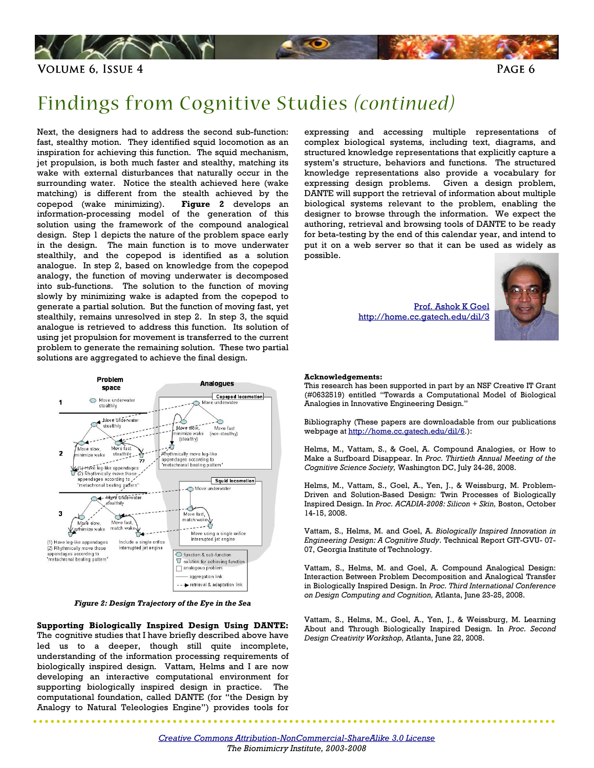

### Findings from Cognitive Studies *(continued)*

Next, the designers had to address the second sub-function: fast, stealthy motion. They identified squid locomotion as an inspiration for achieving this function. The squid mechanism, jet propulsion, is both much faster and stealthy, matching its wake with external disturbances that naturally occur in the surrounding water. Notice the stealth achieved here (wake matching) is different from the stealth achieved by the copepod (wake minimizing). Figure 2 develops an information-processing model of the generation of this solution using the framework of the compound analogical design. Step 1 depicts the nature of the problem space early in the design. The main function is to move underwater stealthily, and the copepod is identified as a solution analogue. In step 2, based on knowledge from the copepod analogy, the function of moving underwater is decomposed into sub-functions. The solution to the function of moving slowly by minimizing wake is adapted from the copepod to generate a partial solution. But the function of moving fast, yet stealthily, remains unresolved in step 2. In step 3, the squid analogue is retrieved to address this function. Its solution of using jet propulsion for movement is transferred to the current problem to generate the remaining solution. These two partial solutions are aggregated to achieve the final design.



Figure 2: Design Trajectory of the Eye in the Sea

Supporting Biologically Inspired Design Using DANTE: The cognitive studies that I have briefly described above have led us to a deeper, though still quite incomplete, understanding of the information processing requirements of biologically inspired design. Vattam, Helms and I are now developing an interactive computational environment for supporting biologically inspired design in practice. The computational foundation, called DANTE (for "the Design by Analogy to Natural Teleologies Engine") provides tools for

expressing and accessing multiple representations of complex biological systems, including text, diagrams, and structured knowledge representations that explicitly capture a system's structure, behaviors and functions. The structured knowledge representations also provide a vocabulary for expressing design problems. Given a design problem, DANTE will support the retrieval of information about multiple biological systems relevant to the problem, enabling the designer to browse through the information. We expect the authoring, retrieval and browsing tools of DANTE to be ready for beta-testing by the end of this calendar year, and intend to put it on a web server so that it can be used as widely as possible.

> [Prof. Ashok K Goel](mailto:goel@cc.gatech.edu)  <http://home.cc.gatech.edu/dil/3>



. . . . . . . . .

#### Acknowledgements:

This research has been supported in part by an NSF Creative IT Grant (#0632519) entitled "Towards a Computational Model of Biological Analogies in Innovative Engineering Design."

Bibliography (These papers are downloadable from our publications webpage at [http://home.cc.gatech.edu/dil/6.](http://home.cc.gatech.edu/dil/6)):

Helms, M., Vattam, S., & Goel, A. Compound Analogies, or How to Make a Surfboard Disappear. In Proc. Thirtieth Annual Meeting of the Cognitive Science Society, Washington DC, July 24-26, 2008.

Helms, M., Vattam, S., Goel, A., Yen, J., & Weissburg, M. Problem-Driven and Solution-Based Design: Twin Processes of Biologically Inspired Design. In Proc. ACADIA-2008: Silicon + Skin, Boston, October 14-15, 2008.

Vattam, S., Helms, M. and Goel, A. Biologically Inspired Innovation in Engineering Design: A Cognitive Study. Technical Report GIT-GVU- 07- 07, Georgia Institute of Technology.

Vattam, S., Helms, M. and Goel, A. Compound Analogical Design: Interaction Between Problem Decomposition and Analogical Transfer in Biologically Inspired Design. In Proc. Third International Conference on Design Computing and Cognition, Atlanta, June 23-25, 2008.

Vattam, S., Helms, M., Goel, A., Yen, J., & Weissburg, M. Learning About and Through Biologically Inspired Design. In Proc. Second Design Creativity Workshop, Atlanta, June 22, 2008.

[Creative Commons Attribution-NonCommercial-ShareAlike 3.0 License](http://creativecommons.org/licenses/by-nc-sa/3.0/) The Biomimicry Institute, 2003-2008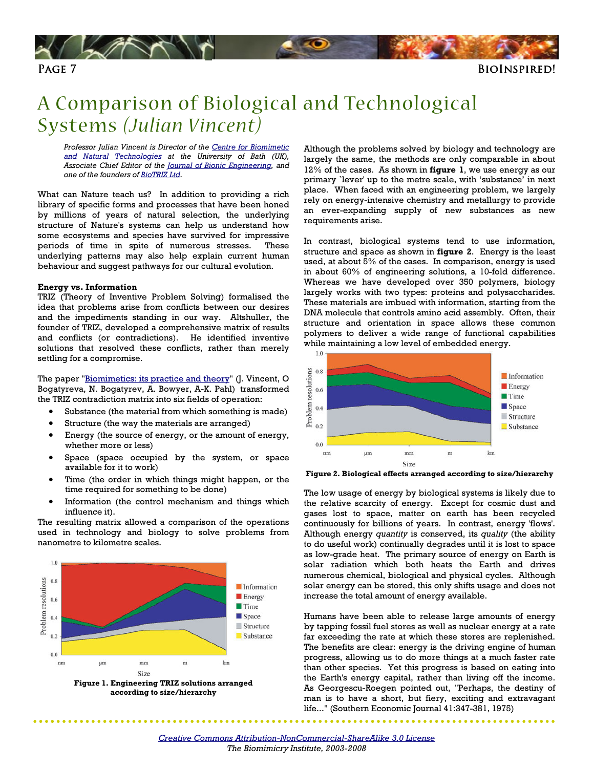<span id="page-6-0"></span>

### A Comparison of Biological and Technological Systems *(Julian Vincent)*

Professor Julian Vincent is Director of the Centre for Biomimetic [and Natural Technologies](http://www.bath.ac.uk/mech-eng/biomimetics/) at the University of Bath (UK), Associate Chief Editor of the [Journal of Bionic Engineering,](http://www.elsevier.com/wps/product/cws_home/707667) and one of the founders of [BioTRIZ Ltd.](http://www.biotriz.com/) 

What can Nature teach us? In addition to providing a rich library of specific forms and processes that have been honed by millions of years of natural selection, the underlying structure of Nature's systems can help us understand how some ecosystems and species have survived for impressive periods of time in spite of numerous stresses. These underlying patterns may also help explain current human behaviour and suggest pathways for our cultural evolution.

#### Energy vs. Information

TRIZ (Theory of Inventive Problem Solving) formalised the idea that problems arise from conflicts between our desires and the impediments standing in our way. Altshuller, the founder of TRIZ, developed a comprehensive matrix of results and conflicts (or contradictions). He identified inventive solutions that resolved these conflicts, rather than merely settling for a compromise.

The paper ["Biomimetics: its practice and theory"](http://rsif.royalsocietypublishing.org/content/3/9/471.full.pdf+html) (J. Vincent, O Bogatyreva, N. Bogatyrev, A. Bowyer, A-K. Pahl) transformed the TRIZ contradiction matrix into six fields of operation:

- Substance (the material from which something is made)
- Structure (the way the materials are arranged)
- Energy (the source of energy, or the amount of energy, whether more or less)
- Space (space occupied by the system, or space available for it to work)
- Time (the order in which things might happen, or the time required for something to be done)
- Information (the control mechanism and things which influence it).

The resulting matrix allowed a comparison of the operations used in technology and biology to solve problems from nanometre to kilometre scales.



.......

Although the problems solved by biology and technology are largely the same, the methods are only comparable in about  $12\%$  of the cases. As shown in figure 1, we use energy as our primary `lever' up to the metre scale, with 'substance' in next place. When faced with an engineering problem, we largely rely on energy-intensive chemistry and metallurgy to provide an ever-expanding supply of new substances as new requirements arise.

In contrast, biological systems tend to use information, structure and space as shown in figure 2. Energy is the least used, at about 5% of the cases. In comparison, energy is used in about 60% of engineering solutions, a 10-fold difference. Whereas we have developed over 350 polymers, biology largely works with two types: proteins and polysaccharides. These materials are imbued with information, starting from the DNA molecule that controls amino acid assembly. Often, their structure and orientation in space allows these common polymers to deliver a wide range of functional capabilities while maintaining a low level of embedded energy.



Figure 2. Biological effects arranged according to size/hierarchy

The low usage of energy by biological systems is likely due to the relative scarcity of energy. Except for cosmic dust and gases lost to space, matter on earth has been recycled continuously for billions of years. In contrast, energy 'flows'. Although energy quantity is conserved, its quality (the ability to do useful work) continually degrades until it is lost to space as low-grade heat. The primary source of energy on Earth is solar radiation which both heats the Earth and drives numerous chemical, biological and physical cycles. Although solar energy can be stored, this only shifts usage and does not increase the total amount of energy available.

Humans have been able to release large amounts of energy by tapping fossil fuel stores as well as nuclear energy at a rate far exceeding the rate at which these stores are replenished. The benefits are clear: energy is the driving engine of human progress, allowing us to do more things at a much faster rate than other species. Yet this progress is based on eating into the Earth's energy capital, rather than living off the income. As Georgescu-Roegen pointed out, "Perhaps, the destiny of man is to have a short, but fiery, exciting and extravagant life..." (Southern Economic Journal 41:347-381, 1975)

. . . . . . . .

. . . . . . .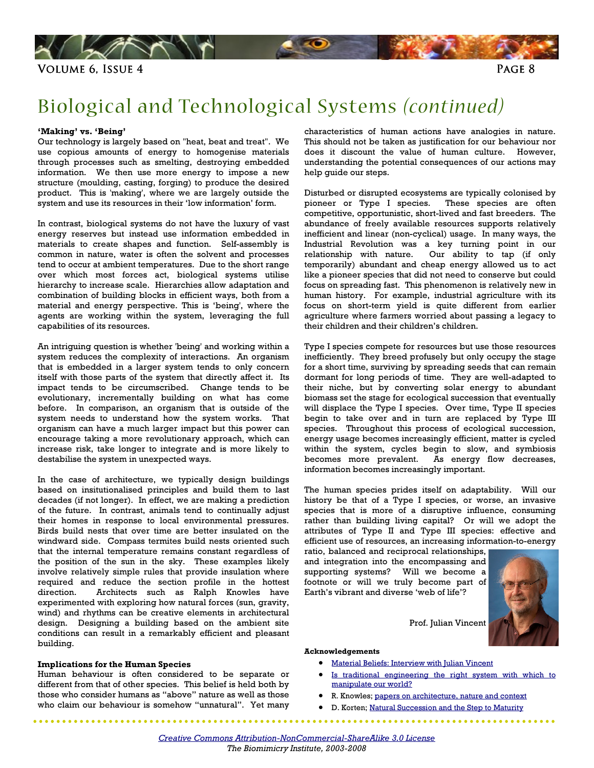

## Biological and Technological Systems *(continued)*

#### 'Making' vs. 'Being'

Our technology is largely based on "heat, beat and treat". We use copious amounts of energy to homogenise materials through processes such as smelting, destroying embedded information. We then use more energy to impose a new structure (moulding, casting, forging) to produce the desired product. This is 'making', where we are largely outside the system and use its resources in their 'low information' form.

In contrast, biological systems do not have the luxury of vast energy reserves but instead use information embedded in materials to create shapes and function. Self-assembly is common in nature, water is often the solvent and processes tend to occur at ambient temperatures. Due to the short range over which most forces act, biological systems utilise hierarchy to increase scale. Hierarchies allow adaptation and combination of building blocks in efficient ways, both from a material and energy perspective. This is 'being', where the agents are working within the system, leveraging the full capabilities of its resources.

An intriguing question is whether 'being' and working within a system reduces the complexity of interactions. An organism that is embedded in a larger system tends to only concern itself with those parts of the system that directly affect it. Its impact tends to be circumscribed. Change tends to be evolutionary, incrementally building on what has come before. In comparison, an organism that is outside of the system needs to understand how the system works. That organism can have a much larger impact but this power can encourage taking a more revolutionary approach, which can increase risk, take longer to integrate and is more likely to destabilise the system in unexpected ways.

In the case of architecture, we typically design buildings based on insitutionalised principles and build them to last decades (if not longer). In effect, we are making a prediction of the future. In contrast, animals tend to continually adjust their homes in response to local environmental pressures. Birds build nests that over time are better insulated on the windward side. Compass termites build nests oriented such that the internal temperature remains constant regardless of the position of the sun in the sky. These examples likely involve relatively simple rules that provide insulation where required and reduce the section profile in the hottest direction. Architects such as Ralph Knowles have experimented with exploring how natural forces (sun, gravity, wind) and rhythms can be creative elements in architectural design. Designing a building based on the ambient site conditions can result in a remarkably efficient and pleasant building.

#### Implications for the Human Species

Human behaviour is often considered to be separate or different from that of other species. This belief is held both by those who consider humans as "above" nature as well as those who claim our behaviour is somehow "unnatural". Yet many

characteristics of human actions have analogies in nature. This should not be taken as justification for our behaviour nor does it discount the value of human culture. However, understanding the potential consequences of our actions may help guide our steps.

Disturbed or disrupted ecosystems are typically colonised by pioneer or Type I species. These species are often competitive, opportunistic, short-lived and fast breeders. The abundance of freely available resources supports relatively inefficient and linear (non-cyclical) usage. In many ways, the Industrial Revolution was a key turning point in our relationship with nature. Our ability to tap (if only temporarily) abundant and cheap energy allowed us to act like a pioneer species that did not need to conserve but could focus on spreading fast. This phenomenon is relatively new in human history. For example, industrial agriculture with its focus on short-term yield is quite different from earlier agriculture where farmers worried about passing a legacy to their children and their children's children.

Type I species compete for resources but use those resources inefficiently. They breed profusely but only occupy the stage for a short time, surviving by spreading seeds that can remain dormant for long periods of time. They are well-adapted to their niche, but by converting solar energy to abundant biomass set the stage for ecological succession that eventually will displace the Type I species. Over time, Type II species begin to take over and in turn are replaced by Type III species. Throughout this process of ecological succession, energy usage becomes increasingly efficient, matter is cycled within the system, cycles begin to slow, and symbiosis becomes more prevalent. As energy flow decreases, information becomes increasingly important.

The human species prides itself on adaptability. Will our history be that of a Type I species, or worse, an invasive species that is more of a disruptive influence, consuming rather than building living capital? Or will we adopt the attributes of Type II and Type III species: effective and efficient use of resources, an increasing information-to-energy

ratio, balanced and reciprocal relationships, and integration into the encompassing and supporting systems? Will we become a footnote or will we truly become part of Earth's vibrant and diverse 'web of life'?



Prof. Julian Vincent

#### Acknowledgements

• [Material Beliefs: Interview with Julian Vincent](http://www.materialbeliefs.com/collaboration/julian-v.php)

- Is traditional engineering the right system with which to manipulate our world?
- R. Knowles; [papers on architecture, nature and context](http://www-rcf.usc.edu/~rknowles/)
- D. Korten; [Natural Succession and the Step to Maturity](http://www.pcdf.org/Living_Economies/III_Succession.htm)

 $\sim$   $\sim$   $\sim$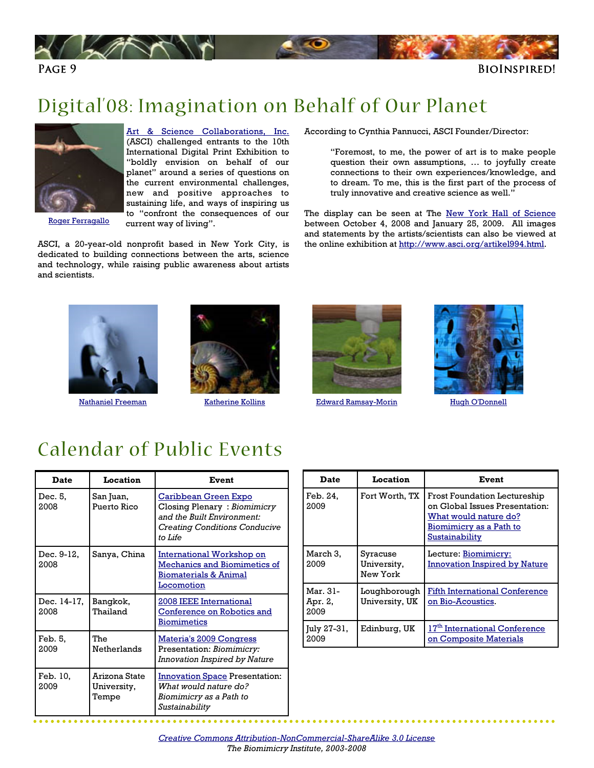<span id="page-8-0"></span>

### Digital'08: Imagination on Behalf of Our Planet



[Roger Ferragallo](http://www.asci.org/index2.php?artikel=1000)

#### [Art & Science Collaborations, Inc.](http://www.asci.org/)

(ASCI) challenged entrants to the 10th International Digital Print Exhibition to "boldly envision on behalf of our planet" around a series of questions on the current environmental challenges, new and positive approaches to sustaining life, and ways of inspiring us to "confront the consequences of our current way of living".

ASCI, a 20-year-old nonprofit based in New York City, is dedicated to building connections between the arts, science and technology, while raising public awareness about artists and scientists.

According to Cynthia Pannucci, ASCI Founder/Director:

"Foremost, to me, the power of art is to make people question their own assumptions, … to joyfully create connections to their own experiences/knowledge, and to dream. To me, this is the first part of the process of truly innovative and creative science as well."

The display can be seen at The [New York Hall of Science](http://www.nyscience.org/) between October 4, 2008 and January 25, 2009. All images and statements by the artists/scientists can also be viewed at the online exhibition at http://www.asci.org/artikel994.html.







[Nathaniel Freeman](http://www.asci.org/index2.php?artikel=1001) [Katherine Kollins](http://www.asci.org/index2.php?artikel=1006) [Edward Ramsay-Morin](http://www.asci.org/index2.php?artikel=1009) 



[Hugh O'Donnell](http://www.asci.org/index2.php?artikel=1010)

### Calendar of Public Events

| Date                | Location                              | Event                                                                                                                                |
|---------------------|---------------------------------------|--------------------------------------------------------------------------------------------------------------------------------------|
| Dec. 5,<br>2008     | San Juan,<br>Puerto Rico              | Caribbean Green Expo<br>Closing Plenary: Biomimicry<br>and the Built Environment:<br><b>Creating Conditions Conducive</b><br>to Life |
| Dec. 9-12,<br>2008  | Sanya, China                          | International Workshop on<br>Mechanics and Biomimetics of<br><b>Biomaterials &amp; Animal</b><br>Locomotion                          |
| Dec. 14-17,<br>2008 | Bangkok,<br>Thailand                  | 2008 IEEE International<br><b>Conference on Robotics and</b><br>Biomimetics                                                          |
| Feb. 5,<br>2009     | <b>The</b><br>Netherlands             | Materia's 2009 Congress<br>Presentation: Biomimicry:<br>Innovation Inspired by Nature                                                |
| Feb. 10,<br>2009    | Arizona State<br>University,<br>Tempe | <b>Innovation Space Presentation:</b><br>What would nature do?<br>Biomimicry as a Path to<br>Sustainability                          |

| <b>Date</b>                 | <b>Location</b>                     | Event                                                                                                                                       |
|-----------------------------|-------------------------------------|---------------------------------------------------------------------------------------------------------------------------------------------|
| Feb. 24,<br>2009            | Fort Worth, TX                      | <b>Frost Foundation Lectureship</b><br>on Global Issues Presentation:<br>What would nature do?<br>Biomimicry as a Path to<br>Sustainability |
| March 3.<br>2009            | Syracuse<br>University,<br>New York | Lecture: Biomimicry:<br><b>Innovation Inspired by Nature</b>                                                                                |
| Mar. 31-<br>Apr. 2,<br>2009 | Loughborough<br>University, UK      | <b>Fifth International Conference</b><br>on Bio-Acoustics.                                                                                  |
| July 27-31,<br>2009         | Edinburg, UK                        | 17 <sup>th</sup> International Conference<br>on Composite Materials                                                                         |